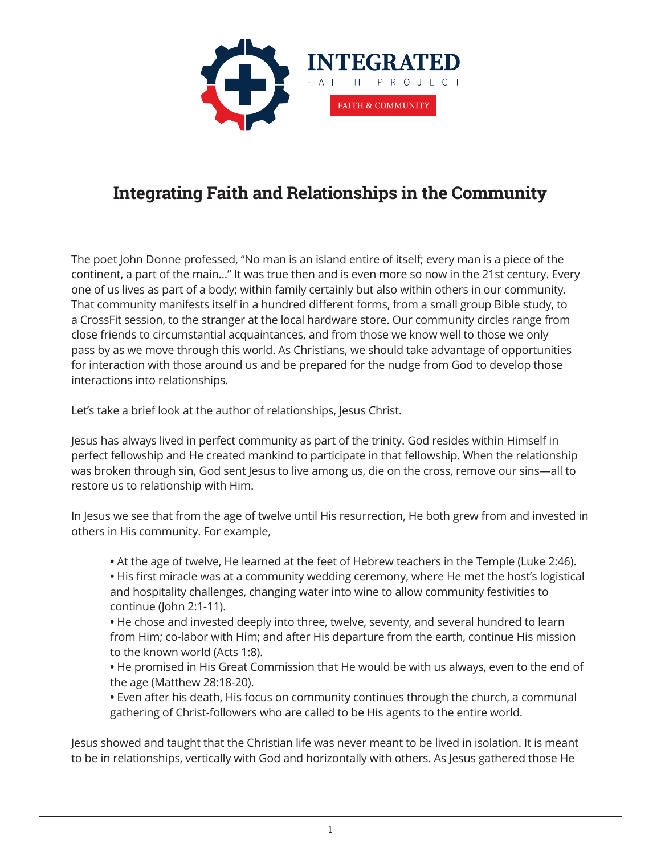

## **Integrating Faith and Relationships in the Community**

The poet John Donne professed, "No man is an island entire of itself; every man is a piece of the continent, a part of the main…" It was true then and is even more so now in the 21st century. Every one of us lives as part of a body; within family certainly but also within others in our community. That community manifests itself in a hundred different forms, from a small group Bible study, to a CrossFit session, to the stranger at the local hardware store. Our community circles range from close friends to circumstantial acquaintances, and from those we know well to those we only pass by as we move through this world. As Christians, we should take advantage of opportunities for interaction with those around us and be prepared for the nudge from God to develop those interactions into relationships.

Let's take a brief look at the author of relationships, Jesus Christ.

Jesus has always lived in perfect community as part of the trinity. God resides within Himself in perfect fellowship and He created mankind to participate in that fellowship. When the relationship was broken through sin, God sent Jesus to live among us, die on the cross, remove our sins—all to restore us to relationship with Him.

In Jesus we see that from the age of twelve until His resurrection, He both grew from and invested in others in His community. For example,

- **•** At the age of twelve, He learned at the feet of Hebrew teachers in the Temple (Luke 2:46).
- **•** His first miracle was at a community wedding ceremony, where He met the host's logistical and hospitality challenges, changing water into wine to allow community festivities to continue (John 2:1-11).
- **•** He chose and invested deeply into three, twelve, seventy, and several hundred to learn from Him; co-labor with Him; and after His departure from the earth, continue His mission to the known world (Acts 1:8).
- **•** He promised in His Great Commission that He would be with us always, even to the end of the age (Matthew 28:18-20).
- **•** Even after his death, His focus on community continues through the church, a communal gathering of Christ-followers who are called to be His agents to the entire world.

Jesus showed and taught that the Christian life was never meant to be lived in isolation. It is meant to be in relationships, vertically with God and horizontally with others. As Jesus gathered those He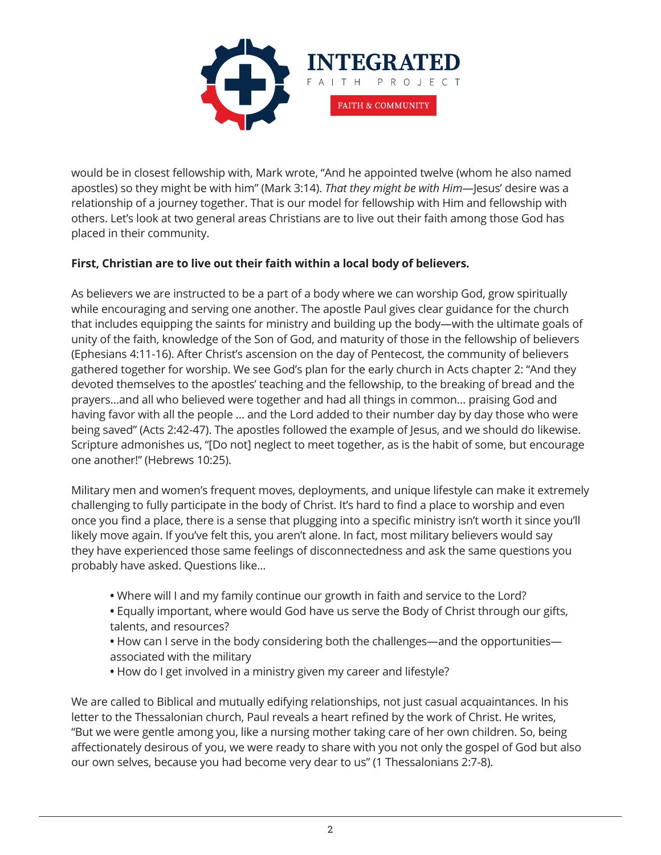

would be in closest fellowship with, Mark wrote, "And he appointed twelve (whom he also named apostles) so they might be with him" (Mark 3:14). *That they might be with Him*—Jesus' desire was a relationship of a journey together. That is our model for fellowship with Him and fellowship with others. Let's look at two general areas Christians are to live out their faith among those God has placed in their community.

## **First, Christian are to live out their faith within a local body of believers.**

As believers we are instructed to be a part of a body where we can worship God, grow spiritually while encouraging and serving one another. The apostle Paul gives clear guidance for the church that includes equipping the saints for ministry and building up the body—with the ultimate goals of unity of the faith, knowledge of the Son of God, and maturity of those in the fellowship of believers (Ephesians 4:11-16). After Christ's ascension on the day of Pentecost, the community of believers gathered together for worship. We see God's plan for the early church in Acts chapter 2: "And they devoted themselves to the apostles' teaching and the fellowship, to the breaking of bread and the prayers…and all who believed were together and had all things in common… praising God and having favor with all the people … and the Lord added to their number day by day those who were being saved" (Acts 2:42-47). The apostles followed the example of Jesus, and we should do likewise. Scripture admonishes us, "[Do not] neglect to meet together, as is the habit of some, but encourage one another!" (Hebrews 10:25).

Military men and women's frequent moves, deployments, and unique lifestyle can make it extremely challenging to fully participate in the body of Christ. It's hard to find a place to worship and even once you find a place, there is a sense that plugging into a specific ministry isn't worth it since you'll likely move again. If you've felt this, you aren't alone. In fact, most military believers would say they have experienced those same feelings of disconnectedness and ask the same questions you probably have asked. Questions like...

- **•** Where will I and my family continue our growth in faith and service to the Lord?
- **•** Equally important, where would God have us serve the Body of Christ through our gifts, talents, and resources?
- **•** How can I serve in the body considering both the challenges—and the opportunities associated with the military
- **•** How do I get involved in a ministry given my career and lifestyle?

We are called to Biblical and mutually edifying relationships, not just casual acquaintances. In his letter to the Thessalonian church, Paul reveals a heart refined by the work of Christ. He writes, "But we were gentle among you, like a nursing mother taking care of her own children. So, being affectionately desirous of you, we were ready to share with you not only the gospel of God but also our own selves, because you had become very dear to us" (1 Thessalonians 2:7-8).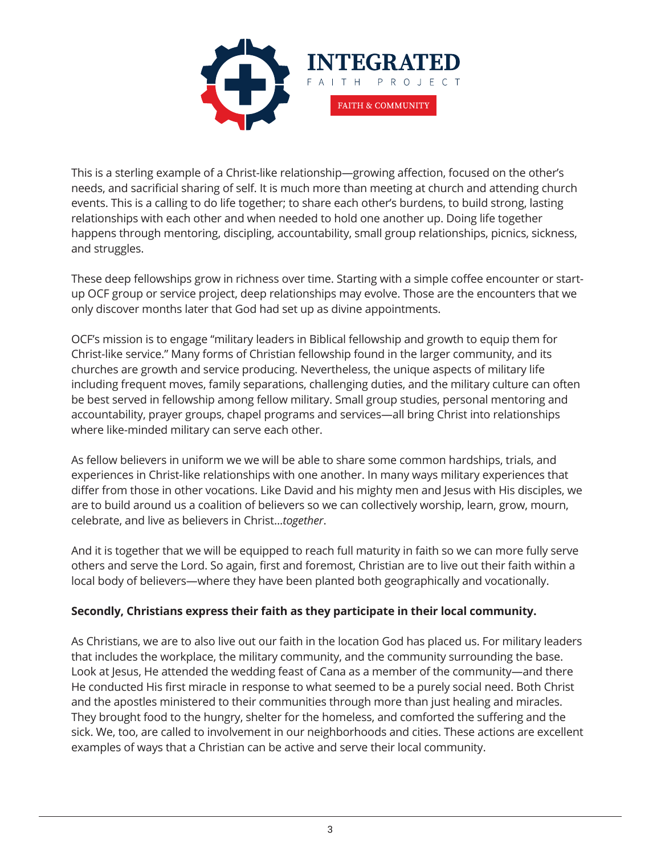

This is a sterling example of a Christ-like relationship—growing affection, focused on the other's needs, and sacrificial sharing of self. It is much more than meeting at church and attending church events. This is a calling to do life together; to share each other's burdens, to build strong, lasting relationships with each other and when needed to hold one another up. Doing life together happens through mentoring, discipling, accountability, small group relationships, picnics, sickness, and struggles.

These deep fellowships grow in richness over time. Starting with a simple coffee encounter or startup OCF group or service project, deep relationships may evolve. Those are the encounters that we only discover months later that God had set up as divine appointments.

OCF's mission is to engage "military leaders in Biblical fellowship and growth to equip them for Christ-like service." Many forms of Christian fellowship found in the larger community, and its churches are growth and service producing. Nevertheless, the unique aspects of military life including frequent moves, family separations, challenging duties, and the military culture can often be best served in fellowship among fellow military. Small group studies, personal mentoring and accountability, prayer groups, chapel programs and services—all bring Christ into relationships where like-minded military can serve each other.

As fellow believers in uniform we we will be able to share some common hardships, trials, and experiences in Christ-like relationships with one another. In many ways military experiences that differ from those in other vocations. Like David and his mighty men and Jesus with His disciples, we are to build around us a coalition of believers so we can collectively worship, learn, grow, mourn, celebrate, and live as believers in Christ...*together*.

And it is together that we will be equipped to reach full maturity in faith so we can more fully serve others and serve the Lord. So again, first and foremost, Christian are to live out their faith within a local body of believers—where they have been planted both geographically and vocationally.

## **Secondly, Christians express their faith as they participate in their local community.**

As Christians, we are to also live out our faith in the location God has placed us. For military leaders that includes the workplace, the military community, and the community surrounding the base. Look at Jesus, He attended the wedding feast of Cana as a member of the community—and there He conducted His first miracle in response to what seemed to be a purely social need. Both Christ and the apostles ministered to their communities through more than just healing and miracles. They brought food to the hungry, shelter for the homeless, and comforted the suffering and the sick. We, too, are called to involvement in our neighborhoods and cities. These actions are excellent examples of ways that a Christian can be active and serve their local community.